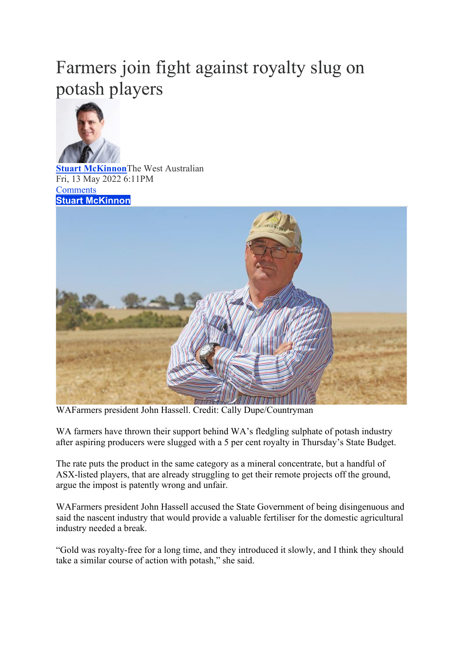## Farmers join fight against royalty slug on potash players



**Stuart McKinnon**The West Australian Fri, 13 May 2022 6:11PM **Comments Stuart McKinnon**



WAFarmers president John Hassell. Credit: Cally Dupe/Countryman

WA farmers have thrown their support behind WA's fledgling sulphate of potash industry after aspiring producers were slugged with a 5 per cent royalty in Thursday's State Budget.

The rate puts the product in the same category as a mineral concentrate, but a handful of ASX-listed players, that are already struggling to get their remote projects off the ground, argue the impost is patently wrong and unfair.

WAFarmers president John Hassell accused the State Government of being disingenuous and said the nascent industry that would provide a valuable fertiliser for the domestic agricultural industry needed a break.

"Gold was royalty-free for a long time, and they introduced it slowly, and I think they should take a similar course of action with potash," she said.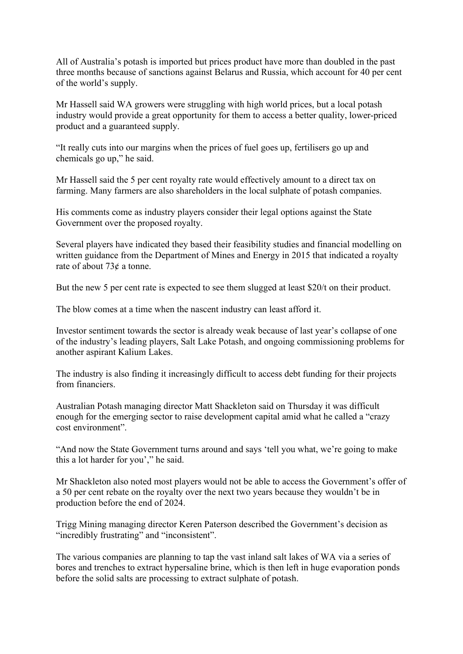All of Australia's potash is imported but prices product have more than doubled in the past three months because of sanctions against Belarus and Russia, which account for 40 per cent of the world's supply.

Mr Hassell said WA growers were struggling with high world prices, but a local potash industry would provide a great opportunity for them to access a better quality, lower-priced product and a guaranteed supply.

"It really cuts into our margins when the prices of fuel goes up, fertilisers go up and chemicals go up," he said.

Mr Hassell said the 5 per cent royalty rate would effectively amount to a direct tax on farming. Many farmers are also shareholders in the local sulphate of potash companies.

His comments come as industry players consider their legal options against the State Government over the proposed royalty.

Several players have indicated they based their feasibility studies and financial modelling on written guidance from the Department of Mines and Energy in 2015 that indicated a royalty rate of about 73¢ a tonne.

But the new 5 per cent rate is expected to see them slugged at least \$20/t on their product.

The blow comes at a time when the nascent industry can least afford it.

Investor sentiment towards the sector is already weak because of last year's collapse of one of the industry's leading players, Salt Lake Potash, and ongoing commissioning problems for another aspirant Kalium Lakes.

The industry is also finding it increasingly difficult to access debt funding for their projects from financiers.

Australian Potash managing director Matt Shackleton said on Thursday it was difficult enough for the emerging sector to raise development capital amid what he called a "crazy cost environment".

"And now the State Government turns around and says 'tell you what, we're going to make this a lot harder for you'," he said.

Mr Shackleton also noted most players would not be able to access the Government's offer of a 50 per cent rebate on the royalty over the next two years because they wouldn't be in production before the end of 2024.

Trigg Mining managing director Keren Paterson described the Government's decision as "incredibly frustrating" and "inconsistent".

The various companies are planning to tap the vast inland salt lakes of WA via a series of bores and trenches to extract hypersaline brine, which is then left in huge evaporation ponds before the solid salts are processing to extract sulphate of potash.